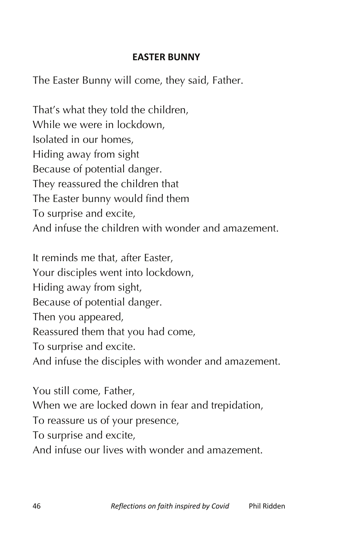## **EASTER BUNNY**

The Easter Bunny will come, they said, Father.

That's what they told the children, While we were in lockdown, Isolated in our homes, Hiding away from sight Because of potential danger. They reassured the children that The Easter bunny would find them To surprise and excite, And infuse the children with wonder and amazement.

It reminds me that, after Easter, Your disciples went into lockdown, Hiding away from sight, Because of potential danger. Then you appeared, Reassured them that you had come, To surprise and excite. And infuse the disciples with wonder and amazement.

You still come, Father, When we are locked down in fear and trepidation, To reassure us of your presence, To surprise and excite, And infuse our lives with wonder and amazement.